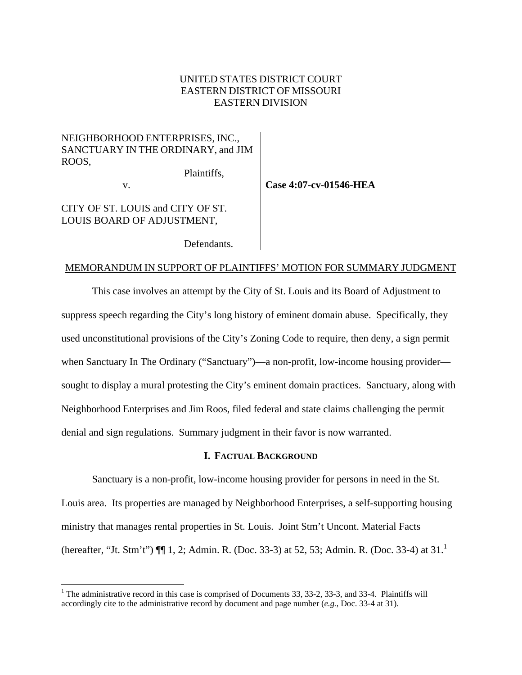## UNITED STATES DISTRICT COURT EASTERN DISTRICT OF MISSOURI EASTERN DIVISION

## NEIGHBORHOOD ENTERPRISES, INC., SANCTUARY IN THE ORDINARY, and JIM ROOS,

v.

1

**Case 4:07-cv-01546-HEA** 

CITY OF ST. LOUIS and CITY OF ST. LOUIS BOARD OF ADJUSTMENT,

Defendants.

Plaintiffs,

#### MEMORANDUM IN SUPPORT OF PLAINTIFFS' MOTION FOR SUMMARY JUDGMENT

This case involves an attempt by the City of St. Louis and its Board of Adjustment to suppress speech regarding the City's long history of eminent domain abuse. Specifically, they used unconstitutional provisions of the City's Zoning Code to require, then deny, a sign permit when Sanctuary In The Ordinary ("Sanctuary")—a non-profit, low-income housing provider sought to display a mural protesting the City's eminent domain practices. Sanctuary, along with Neighborhood Enterprises and Jim Roos, filed federal and state claims challenging the permit denial and sign regulations. Summary judgment in their favor is now warranted.

#### **I. FACTUAL BACKGROUND**

Sanctuary is a non-profit, low-income housing provider for persons in need in the St. Louis area. Its properties are managed by Neighborhood Enterprises, a self-supporting housing ministry that manages rental properties in St. Louis. Joint Stm't Uncont. Material Facts (hereafter, "Jt. Stm't")  $\P\P$  [1](#page-0-0), 2; Admin. R. (Doc. 33-3) at 52, 53; Admin. R. (Doc. 33-4) at 31.<sup>1</sup>

<span id="page-0-0"></span><sup>&</sup>lt;sup>1</sup> The administrative record in this case is comprised of Documents 33, 33-2, 33-3, and 33-4. Plaintiffs will accordingly cite to the administrative record by document and page number (*e.g.*, Doc. 33-4 at 31).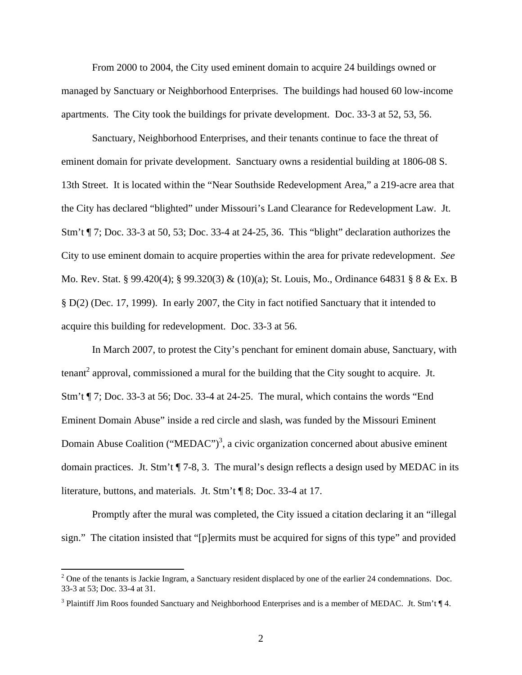From 2000 to 2004, the City used eminent domain to acquire 24 buildings owned or managed by Sanctuary or Neighborhood Enterprises. The buildings had housed 60 low-income apartments. The City took the buildings for private development. Doc. 33-3 at 52, 53, 56.

Sanctuary, Neighborhood Enterprises, and their tenants continue to face the threat of eminent domain for private development. Sanctuary owns a residential building at 1806-08 S. 13th Street. It is located within the "Near Southside Redevelopment Area," a 219-acre area that the City has declared "blighted" under Missouri's Land Clearance for Redevelopment Law. Jt. Stm't ¶ 7; Doc. 33-3 at 50, 53; Doc. 33-4 at 24-25, 36. This "blight" declaration authorizes the City to use eminent domain to acquire properties within the area for private redevelopment. *See* Mo. Rev. Stat. § 99.420(4); § 99.320(3) & (10)(a); St. Louis, Mo., Ordinance 64831 § 8 & Ex. B § D(2) (Dec. 17, 1999). In early 2007, the City in fact notified Sanctuary that it intended to acquire this building for redevelopment. Doc. 33-3 at 56.

In March 2007, to protest the City's penchant for eminent domain abuse, Sanctuary, with tenant<sup>2</sup> approval, commissioned a mural for the building that the City sought to acquire. Jt. Stm't ¶ 7; Doc. 33-3 at 56; Doc. 33-4 at 24-25. The mural, which contains the words "End Eminent Domain Abuse" inside a red circle and slash, was funded by the Missouri Eminent Domain Abuse Coalition ("MEDAC")<sup>3</sup>[,](#page-1-1) a civic organization concerned about abusive eminent domain practices. Jt. Stm't ¶ 7-8, 3. The mural's design reflects a design used by MEDAC in its literature, buttons, and materials. Jt. Stm't ¶ 8; Doc. 33-4 at 17.

Promptly after the mural was completed, the City issued a citation declaring it an "illegal sign." The citation insisted that "[p]ermits must be acquired for signs of this type" and provided

<span id="page-1-0"></span> $2^2$  One of the tenants is Jackie Ingram, a Sanctuary resident displaced by one of the earlier 24 condemnations. Doc. 33-3 at 53; Doc. 33-4 at 31.

<span id="page-1-1"></span><sup>&</sup>lt;sup>3</sup> Plaintiff Jim Roos founded Sanctuary and Neighborhood Enterprises and is a member of MEDAC. Jt. Stm't  $\P$  4.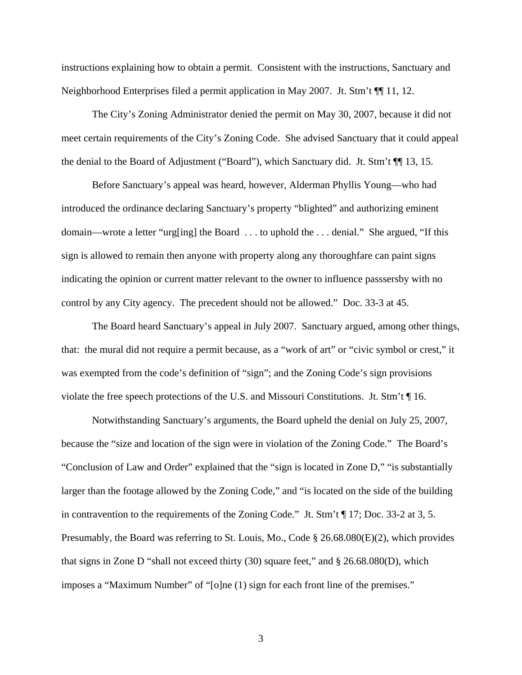instructions explaining how to obtain a permit. Consistent with the instructions, Sanctuary and Neighborhood Enterprises filed a permit application in May 2007. Jt. Stm't ¶¶ 11, 12.

The City's Zoning Administrator denied the permit on May 30, 2007, because it did not meet certain requirements of the City's Zoning Code. She advised Sanctuary that it could appeal the denial to the Board of Adjustment ("Board"), which Sanctuary did. Jt. Stm't ¶¶ 13, 15.

Before Sanctuary's appeal was heard, however, Alderman Phyllis Young—who had introduced the ordinance declaring Sanctuary's property "blighted" and authorizing eminent domain—wrote a letter "urg[ing] the Board . . . to uphold the . . . denial." She argued, "If this sign is allowed to remain then anyone with property along any thoroughfare can paint signs indicating the opinion or current matter relevant to the owner to influence passsersby with no control by any City agency. The precedent should not be allowed." Doc. 33-3 at 45.

The Board heard Sanctuary's appeal in July 2007. Sanctuary argued, among other things, that: the mural did not require a permit because, as a "work of art" or "civic symbol or crest," it was exempted from the code's definition of "sign"; and the Zoning Code's sign provisions violate the free speech protections of the U.S. and Missouri Constitutions. Jt. Stm't ¶ 16.

Notwithstanding Sanctuary's arguments, the Board upheld the denial on July 25, 2007, because the "size and location of the sign were in violation of the Zoning Code." The Board's "Conclusion of Law and Order" explained that the "sign is located in Zone D," "is substantially larger than the footage allowed by the Zoning Code," and "is located on the side of the building in contravention to the requirements of the Zoning Code." Jt. Stm't ¶ 17; Doc. 33-2 at 3, 5. Presumably, the Board was referring to St. Louis, Mo., Code § 26.68.080(E)(2), which provides that signs in Zone D "shall not exceed thirty (30) square feet," and  $\S 26.68.080(D)$ , which imposes a "Maximum Number" of "[o]ne (1) sign for each front line of the premises."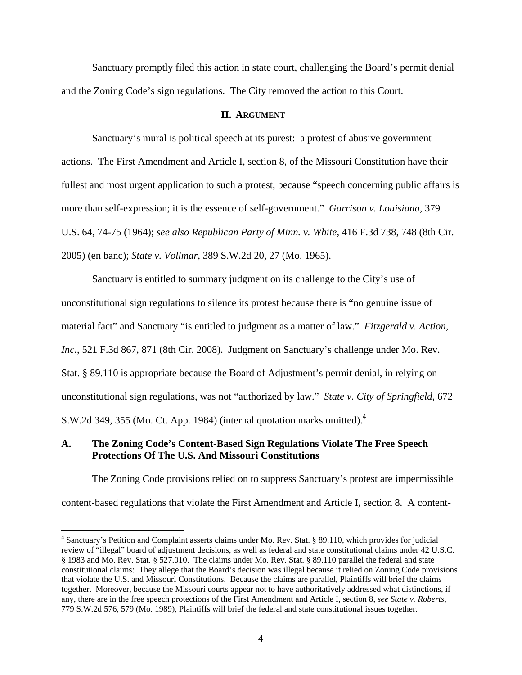Sanctuary promptly filed this action in state court, challenging the Board's permit denial and the Zoning Code's sign regulations. The City removed the action to this Court.

#### **II. ARGUMENT**

Sanctuary's mural is political speech at its purest: a protest of abusive government actions. The First Amendment and Article I, section 8, of the Missouri Constitution have their fullest and most urgent application to such a protest, because "speech concerning public affairs is more than self-expression; it is the essence of self-government." *Garrison v. Louisiana*, 379 U.S. 64, 74-75 (1964); *see also Republican Party of Minn. v. White*, 416 F.3d 738, 748 (8th Cir. 2005) (en banc); *State v. Vollmar*, 389 S.W.2d 20, 27 (Mo. 1965).

Sanctuary is entitled to summary judgment on its challenge to the City's use of unconstitutional sign regulations to silence its protest because there is "no genuine issue of material fact" and Sanctuary "is entitled to judgment as a matter of law." *Fitzgerald v. Action, Inc.*, 521 F.3d 867, 871 (8th Cir. 2008). Judgment on Sanctuary's challenge under Mo. Rev. Stat. § 89.110 is appropriate because the Board of Adjustment's permit denial, in relying on unconstitutional sign regulations, was not "authorized by law." *State v. City of Springfield*, 672 S.W.2d 3[4](#page-3-0)9, 355 (Mo. Ct. App. 1984) (internal quotation marks omitted). $4$ 

### **A. The Zoning Code's Content-Based Sign Regulations Violate The Free Speech Protections Of The U.S. And Missouri Constitutions**

1

The Zoning Code provisions relied on to suppress Sanctuary's protest are impermissible content-based regulations that violate the First Amendment and Article I, section 8. A content-

<span id="page-3-0"></span><sup>&</sup>lt;sup>4</sup> Sanctuary's Petition and Complaint asserts claims under Mo. Rev. Stat. § 89.110, which provides for judicial review of "illegal" board of adjustment decisions, as well as federal and state constitutional claims under 42 U.S.C. § 1983 and Mo. Rev. Stat. § 527.010. The claims under Mo. Rev. Stat. § 89.110 parallel the federal and state constitutional claims: They allege that the Board's decision was illegal because it relied on Zoning Code provisions that violate the U.S. and Missouri Constitutions. Because the claims are parallel, Plaintiffs will brief the claims together. Moreover, because the Missouri courts appear not to have authoritatively addressed what distinctions, if any, there are in the free speech protections of the First Amendment and Article I, section 8, *see State v. Roberts*, 779 S.W.2d 576, 579 (Mo. 1989), Plaintiffs will brief the federal and state constitutional issues together.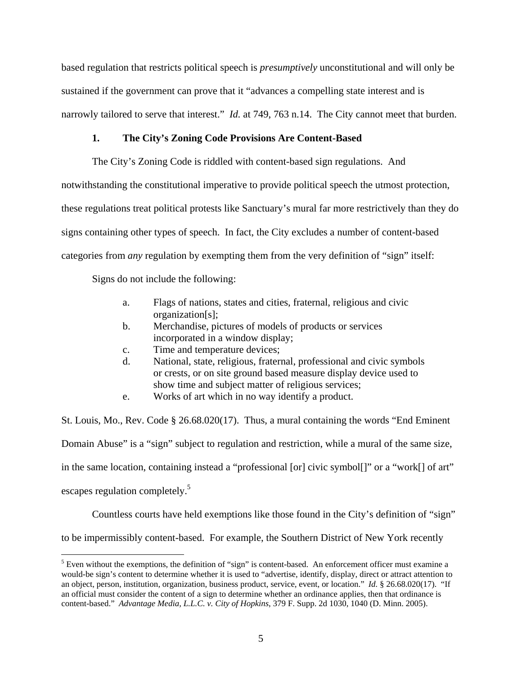based regulation that restricts political speech is *presumptively* unconstitutional and will only be sustained if the government can prove that it "advances a compelling state interest and is narrowly tailored to serve that interest." *Id.* at 749, 763 n.14. The City cannot meet that burden.

## **1. The City's Zoning Code Provisions Are Content-Based**

The City's Zoning Code is riddled with content-based sign regulations. And

notwithstanding the constitutional imperative to provide political speech the utmost protection,

these regulations treat political protests like Sanctuary's mural far more restrictively than they do

signs containing other types of speech. In fact, the City excludes a number of content-based

categories from *any* regulation by exempting them from the very definition of "sign" itself:

Signs do not include the following:

 $\overline{a}$ 

- a. Flags of nations, states and cities, fraternal, religious and civic organization[s];
- b. Merchandise, pictures of models of products or services incorporated in a window display;
- c. Time and temperature devices;
- d. National, state, religious, fraternal, professional and civic symbols or crests, or on site ground based measure display device used to show time and subject matter of religious services;
- e. Works of art which in no way identify a product.

St. Louis, Mo., Rev. Code § 26.68.020(17). Thus, a mural containing the words "End Eminent Domain Abuse" is a "sign" subject to regulation and restriction, while a mural of the same size, in the same location, containing instead a "professional [or] civic symbol[]" or a "work[] of art" escapes regulation completely.<sup>[5](#page-4-0)</sup>

Countless courts have held exemptions like those found in the City's definition of "sign"

to be impermissibly content-based. For example, the Southern District of New York recently

<span id="page-4-0"></span> $<sup>5</sup>$  Even without the exemptions, the definition of "sign" is content-based. An enforcement officer must examine a</sup> would-be sign's content to determine whether it is used to "advertise, identify, display, direct or attract attention to an object, person, institution, organization, business product, service, event, or location." *Id.* § 26.68.020(17). "If an official must consider the content of a sign to determine whether an ordinance applies, then that ordinance is content-based." *Advantage Media, L.L.C. v. City of Hopkins*, 379 F. Supp. 2d 1030, 1040 (D. Minn. 2005).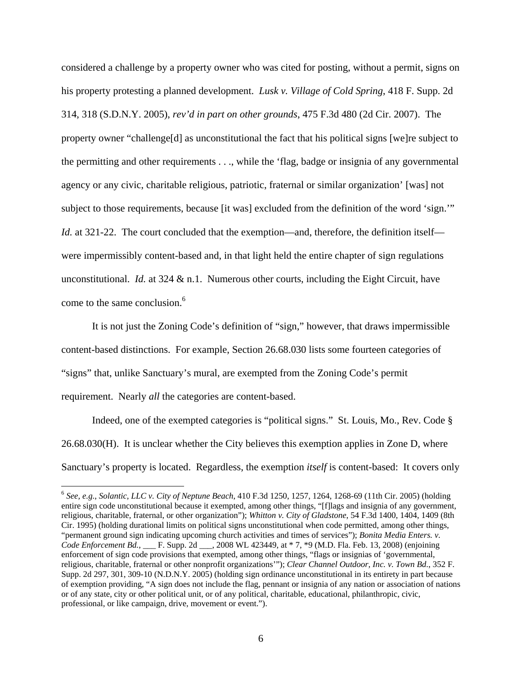considered a challenge by a property owner who was cited for posting, without a permit, signs on his property protesting a planned development. *Lusk v. Village of Cold Spring*, 418 F. Supp. 2d 314, 318 (S.D.N.Y. 2005), *rev'd in part on other grounds*, 475 F.3d 480 (2d Cir. 2007). The property owner "challenge[d] as unconstitutional the fact that his political signs [we]re subject to the permitting and other requirements . . ., while the 'flag, badge or insignia of any governmental agency or any civic, charitable religious, patriotic, fraternal or similar organization' [was] not subject to those requirements, because [it was] excluded from the definition of the word 'sign.'" *Id.* at 321-22. The court concluded that the exemption—and, therefore, the definition itself were impermissibly content-based and, in that light held the entire chapter of sign regulations unconstitutional. *Id.* at 324  $\&$  n.1. Numerous other courts, including the Eight Circuit, have come to the same conclusion.<sup>[6](#page-5-0)</sup>

It is not just the Zoning Code's definition of "sign," however, that draws impermissible content-based distinctions. For example, Section 26.68.030 lists some fourteen categories of "signs" that, unlike Sanctuary's mural, are exempted from the Zoning Code's permit requirement. Nearly *all* the categories are content-based.

Indeed, one of the exempted categories is "political signs." St. Louis, Mo., Rev. Code § 26.68.030(H). It is unclear whether the City believes this exemption applies in Zone D, where Sanctuary's property is located. Regardless, the exemption *itself* is content-based: It covers only

<span id="page-5-0"></span><sup>6</sup> *See, e.g.*, *Solantic, LLC v. City of Neptune Beach*, 410 F.3d 1250, 1257, 1264, 1268-69 (11th Cir. 2005) (holding entire sign code unconstitutional because it exempted, among other things, "[f]lags and insignia of any government, religious, charitable, fraternal, or other organization"); *Whitton v. City of Gladstone*, 54 F.3d 1400, 1404, 1409 (8th Cir. 1995) (holding durational limits on political signs unconstitutional when code permitted, among other things, "permanent ground sign indicating upcoming church activities and times of services"); *Bonita Media Enters. v. Code Enforcement Bd.*, \_\_\_ F. Supp. 2d \_\_\_, 2008 WL 423449, at \* 7, \*9 (M.D. Fla. Feb. 13, 2008) (enjoining enforcement of sign code provisions that exempted, among other things, "flags or insignias of 'governmental, religious, charitable, fraternal or other nonprofit organizations'"); *Clear Channel Outdoor, Inc. v. Town Bd.*, 352 F. Supp. 2d 297, 301, 309-10 (N.D.N.Y. 2005) (holding sign ordinance unconstitutional in its entirety in part because of exemption providing, "A sign does not include the flag, pennant or insignia of any nation or association of nations or of any state, city or other political unit, or of any political, charitable, educational, philanthropic, civic, professional, or like campaign, drive, movement or event.").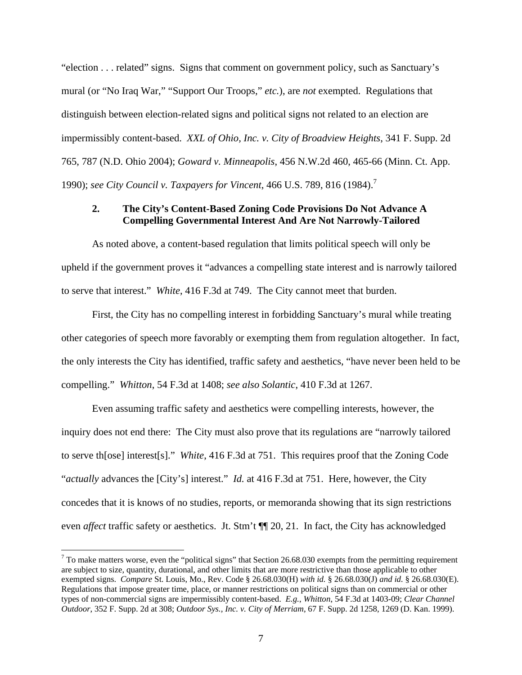"election . . . related" signs. Signs that comment on government policy, such as Sanctuary's mural (or "No Iraq War," "Support Our Troops," *etc.*), are *not* exempted. Regulations that distinguish between election-related signs and political signs not related to an election are impermissibly content-based. *XXL of Ohio, Inc. v. City of Broadview Heights*, 341 F. Supp. 2d 765, 787 (N.D. Ohio 2004); *Goward v. Minneapolis*, 456 N.W.2d 460, 465-66 (Minn. Ct. App. 1990); *see City Council v. Taxpayers for Vincent*, 466 U.S. 789, 816 (1984).[7](#page-6-0)

### **2. The City's Content-Based Zoning Code Provisions Do Not Advance A Compelling Governmental Interest And Are Not Narrowly-Tailored**

As noted above, a content-based regulation that limits political speech will only be upheld if the government proves it "advances a compelling state interest and is narrowly tailored to serve that interest." *White*, 416 F.3d at 749. The City cannot meet that burden.

First, the City has no compelling interest in forbidding Sanctuary's mural while treating other categories of speech more favorably or exempting them from regulation altogether. In fact, the only interests the City has identified, traffic safety and aesthetics, "have never been held to be compelling." *Whitton*, 54 F.3d at 1408; *see also Solantic*, 410 F.3d at 1267.

Even assuming traffic safety and aesthetics were compelling interests, however, the inquiry does not end there: The City must also prove that its regulations are "narrowly tailored to serve th[ose] interest[s]." *White*, 416 F.3d at 751. This requires proof that the Zoning Code "*actually* advances the [City's] interest." *Id.* at 416 F.3d at 751. Here, however, the City concedes that it is knows of no studies, reports, or memoranda showing that its sign restrictions even *affect* traffic safety or aesthetics. Jt. Stm't ¶¶ 20, 21. In fact, the City has acknowledged

<span id="page-6-0"></span> $<sup>7</sup>$  To make matters worse, even the "political signs" that Section 26.68.030 exempts from the permitting requirement</sup> are subject to size, quantity, durational, and other limits that are more restrictive than those applicable to other exempted signs. *Compare* St. Louis, Mo., Rev. Code § 26.68.030(H) *with id.* § 26.68.030(J) *and id.* § 26.68.030(E). Regulations that impose greater time, place, or manner restrictions on political signs than on commercial or other types of non-commercial signs are impermissibly content-based. *E.g.*, *Whitton*, 54 F.3d at 1403-09; *Clear Channel Outdoor*, 352 F. Supp. 2d at 308; *Outdoor Sys., Inc. v. City of Merriam*, 67 F. Supp. 2d 1258, 1269 (D. Kan. 1999).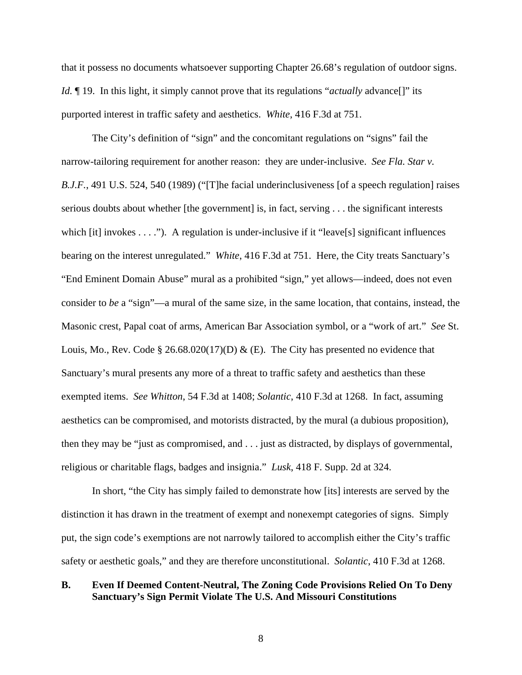that it possess no documents whatsoever supporting Chapter 26.68's regulation of outdoor signs. *Id.*  $\P$  19. In this light, it simply cannot prove that its regulations "*actually* advance  $\lceil \cdot \rceil$ " its purported interest in traffic safety and aesthetics. *White*, 416 F.3d at 751.

The City's definition of "sign" and the concomitant regulations on "signs" fail the narrow-tailoring requirement for another reason: they are under-inclusive. *See Fla. Star v. B.J.F.*, 491 U.S. 524, 540 (1989) ("[T]he facial underinclusiveness [of a speech regulation] raises serious doubts about whether [the government] is, in fact, serving . . . the significant interests which [it] invokes . . . ."). A regulation is under-inclusive if it "leave<sup>[s]</sup> significant influences bearing on the interest unregulated." *White*, 416 F.3d at 751. Here, the City treats Sanctuary's "End Eminent Domain Abuse" mural as a prohibited "sign," yet allows—indeed, does not even consider to *be* a "sign"—a mural of the same size, in the same location, that contains, instead, the Masonic crest, Papal coat of arms, American Bar Association symbol, or a "work of art." *See* St. Louis, Mo., Rev. Code § 26.68.020(17)(D) & (E). The City has presented no evidence that Sanctuary's mural presents any more of a threat to traffic safety and aesthetics than these exempted items. *See Whitton*, 54 F.3d at 1408; *Solantic*, 410 F.3d at 1268. In fact, assuming aesthetics can be compromised, and motorists distracted, by the mural (a dubious proposition), then they may be "just as compromised, and . . . just as distracted, by displays of governmental, religious or charitable flags, badges and insignia." *Lusk*, 418 F. Supp. 2d at 324.

In short, "the City has simply failed to demonstrate how [its] interests are served by the distinction it has drawn in the treatment of exempt and nonexempt categories of signs. Simply put, the sign code's exemptions are not narrowly tailored to accomplish either the City's traffic safety or aesthetic goals," and they are therefore unconstitutional. *Solantic*, 410 F.3d at 1268.

## **B. Even If Deemed Content-Neutral, The Zoning Code Provisions Relied On To Deny Sanctuary's Sign Permit Violate The U.S. And Missouri Constitutions**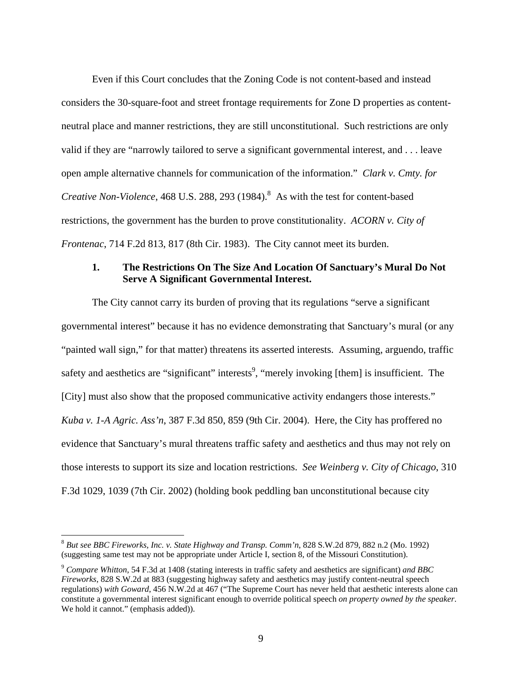Even if this Court concludes that the Zoning Code is not content-based and instead considers the 30-square-foot and street frontage requirements for Zone D properties as contentneutral place and manner restrictions, they are still unconstitutional. Such restrictions are only valid if they are "narrowly tailored to serve a significant governmental interest, and . . . leave open ample alternative channels for communication of the information." *Clark v. Cmty. for Creative Non-Violence*, 46[8](#page-8-0) U.S. 288, 293 (1984).<sup>8</sup> As with the test for content-based restrictions, the government has the burden to prove constitutionality. *ACORN v. City of Frontenac*, 714 F.2d 813, 817 (8th Cir. 1983). The City cannot meet its burden.

#### **1. The Restrictions On The Size And Location Of Sanctuary's Mural Do Not Serve A Significant Governmental Interest.**

The City cannot carry its burden of proving that its regulations "serve a significant governmental interest" because it has no evidence demonstrating that Sanctuary's mural (or any "painted wall sign," for that matter) threatens its asserted interests. Assuming, arguendo, traffic safety and aesthetics are "significant" interests<sup>[9](#page-8-1)</sup>, "merely invoking [them] is insufficient. The [City] must also show that the proposed communicative activity endangers those interests." *Kuba v. 1-A Agric. Ass'n*, 387 F.3d 850, 859 (9th Cir. 2004). Here, the City has proffered no evidence that Sanctuary's mural threatens traffic safety and aesthetics and thus may not rely on those interests to support its size and location restrictions. *See Weinberg v. City of Chicago*, 310 F.3d 1029, 1039 (7th Cir. 2002) (holding book peddling ban unconstitutional because city

<span id="page-8-0"></span><sup>8</sup> *But see BBC Fireworks, Inc. v. State Highway and Transp. Comm'n*, 828 S.W.2d 879, 882 n.2 (Mo. 1992) (suggesting same test may not be appropriate under Article I, section 8, of the Missouri Constitution).

<span id="page-8-1"></span><sup>9</sup> *Compare Whitton*, 54 F.3d at 1408 (stating interests in traffic safety and aesthetics are significant) *and BBC Fireworks*, 828 S.W.2d at 883 (suggesting highway safety and aesthetics may justify content-neutral speech regulations) *with Goward*, 456 N.W.2d at 467 ("The Supreme Court has never held that aesthetic interests alone can constitute a governmental interest significant enough to override political speech *on property owned by the speaker*. We hold it cannot." (emphasis added)).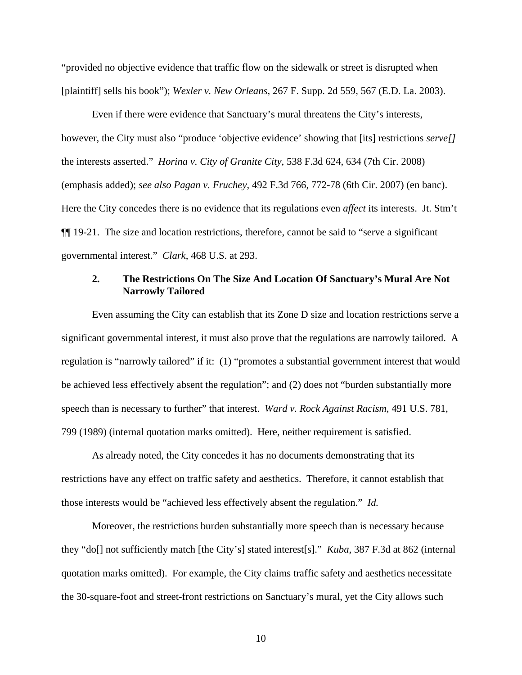"provided no objective evidence that traffic flow on the sidewalk or street is disrupted when [plaintiff] sells his book"); *Wexler v. New Orleans*, 267 F. Supp. 2d 559, 567 (E.D. La. 2003).

Even if there were evidence that Sanctuary's mural threatens the City's interests, however, the City must also "produce 'objective evidence' showing that [its] restrictions *serve[]* the interests asserted." *Horina v. City of Granite City*, 538 F.3d 624, 634 (7th Cir. 2008) (emphasis added); *see also Pagan v. Fruchey*, 492 F.3d 766, 772-78 (6th Cir. 2007) (en banc). Here the City concedes there is no evidence that its regulations even *affect* its interests. Jt. Stm't ¶¶ 19-21. The size and location restrictions, therefore, cannot be said to "serve a significant governmental interest." *Clark*, 468 U.S. at 293.

### **2. The Restrictions On The Size And Location Of Sanctuary's Mural Are Not Narrowly Tailored**

Even assuming the City can establish that its Zone D size and location restrictions serve a significant governmental interest, it must also prove that the regulations are narrowly tailored. A regulation is "narrowly tailored" if it: (1) "promotes a substantial government interest that would be achieved less effectively absent the regulation"; and (2) does not "burden substantially more speech than is necessary to further" that interest. *Ward v. Rock Against Racism*, 491 U.S. 781, 799 (1989) (internal quotation marks omitted). Here, neither requirement is satisfied.

As already noted, the City concedes it has no documents demonstrating that its restrictions have any effect on traffic safety and aesthetics. Therefore, it cannot establish that those interests would be "achieved less effectively absent the regulation." *Id.* 

Moreover, the restrictions burden substantially more speech than is necessary because they "do[] not sufficiently match [the City's] stated interest[s]." *Kuba*, 387 F.3d at 862 (internal quotation marks omitted). For example, the City claims traffic safety and aesthetics necessitate the 30-square-foot and street-front restrictions on Sanctuary's mural, yet the City allows such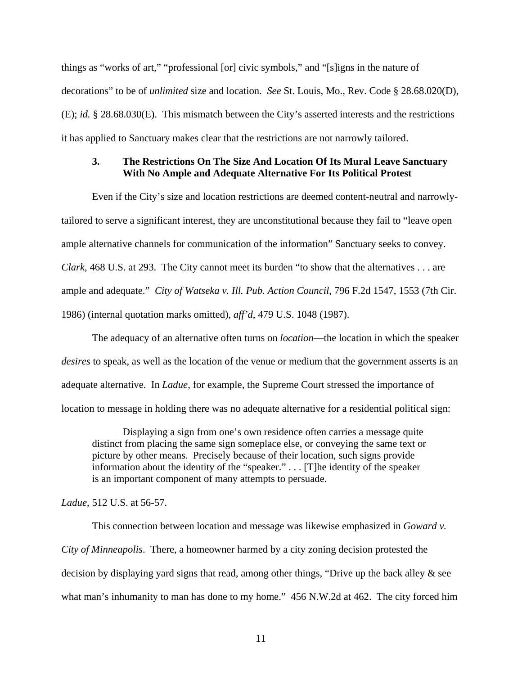things as "works of art," "professional [or] civic symbols," and "[s]igns in the nature of decorations" to be of *unlimited* size and location. *See* St. Louis, Mo., Rev. Code § 28.68.020(D), (E); *id.* § 28.68.030(E). This mismatch between the City's asserted interests and the restrictions it has applied to Sanctuary makes clear that the restrictions are not narrowly tailored.

#### **3. The Restrictions On The Size And Location Of Its Mural Leave Sanctuary With No Ample and Adequate Alternative For Its Political Protest**

Even if the City's size and location restrictions are deemed content-neutral and narrowlytailored to serve a significant interest, they are unconstitutional because they fail to "leave open ample alternative channels for communication of the information" Sanctuary seeks to convey. *Clark*, 468 U.S. at 293. The City cannot meet its burden "to show that the alternatives . . . are ample and adequate." *City of Watseka v. Ill. Pub. Action Council*, 796 F.2d 1547, 1553 (7th Cir. 1986) (internal quotation marks omitted), *aff'd*, 479 U.S. 1048 (1987).

The adequacy of an alternative often turns on *location*—the location in which the speaker *desires* to speak, as well as the location of the venue or medium that the government asserts is an adequate alternative. In *Ladue*, for example, the Supreme Court stressed the importance of location to message in holding there was no adequate alternative for a residential political sign:

Displaying a sign from one's own residence often carries a message quite distinct from placing the same sign someplace else, or conveying the same text or picture by other means. Precisely because of their location, such signs provide information about the identity of the "speaker." . . . [T]he identity of the speaker is an important component of many attempts to persuade.

*Ladue*, 512 U.S. at 56-57.

This connection between location and message was likewise emphasized in *Goward v. City of Minneapolis*. There, a homeowner harmed by a city zoning decision protested the decision by displaying yard signs that read, among other things, "Drive up the back alley & see what man's inhumanity to man has done to my home." 456 N.W.2d at 462. The city forced him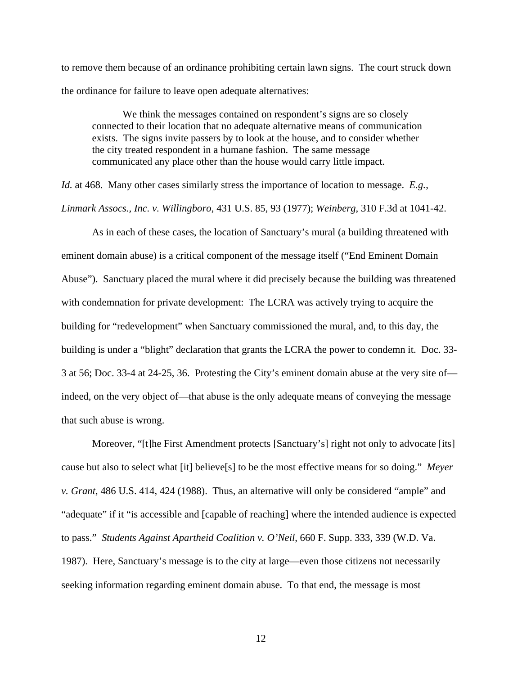to remove them because of an ordinance prohibiting certain lawn signs. The court struck down the ordinance for failure to leave open adequate alternatives:

We think the messages contained on respondent's signs are so closely connected to their location that no adequate alternative means of communication exists. The signs invite passers by to look at the house, and to consider whether the city treated respondent in a humane fashion. The same message communicated any place other than the house would carry little impact.

*Id.* at 468. Many other cases similarly stress the importance of location to message. *E.g.*,

*Linmark Assocs., Inc. v. Willingboro*, 431 U.S. 85, 93 (1977); *Weinberg*, 310 F.3d at 1041-42.

As in each of these cases, the location of Sanctuary's mural (a building threatened with eminent domain abuse) is a critical component of the message itself ("End Eminent Domain Abuse"). Sanctuary placed the mural where it did precisely because the building was threatened with condemnation for private development: The LCRA was actively trying to acquire the building for "redevelopment" when Sanctuary commissioned the mural, and, to this day, the building is under a "blight" declaration that grants the LCRA the power to condemn it. Doc. 33- 3 at 56; Doc. 33-4 at 24-25, 36. Protesting the City's eminent domain abuse at the very site of indeed, on the very object of—that abuse is the only adequate means of conveying the message that such abuse is wrong.

Moreover, "[t]he First Amendment protects [Sanctuary's] right not only to advocate [its] cause but also to select what [it] believe[s] to be the most effective means for so doing." *Meyer v. Grant*, 486 U.S. 414, 424 (1988). Thus, an alternative will only be considered "ample" and "adequate" if it "is accessible and [capable of reaching] where the intended audience is expected to pass." *Students Against Apartheid Coalition v. O'Neil*, 660 F. Supp. 333, 339 (W.D. Va. 1987). Here, Sanctuary's message is to the city at large—even those citizens not necessarily seeking information regarding eminent domain abuse. To that end, the message is most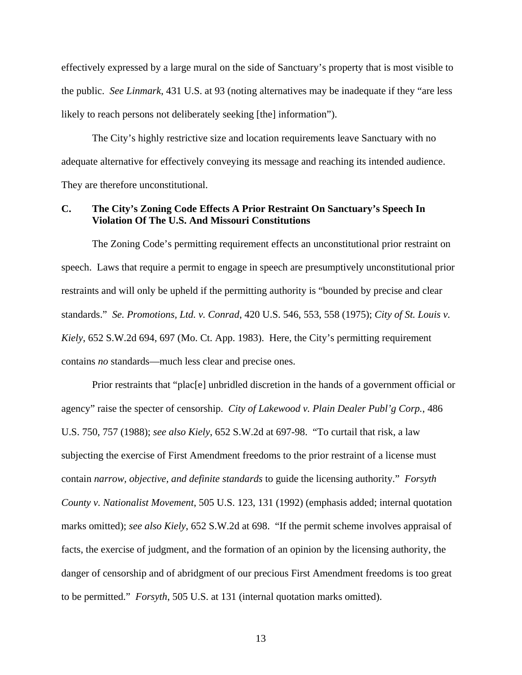effectively expressed by a large mural on the side of Sanctuary's property that is most visible to the public. *See Linmark*, 431 U.S. at 93 (noting alternatives may be inadequate if they "are less likely to reach persons not deliberately seeking [the] information").

The City's highly restrictive size and location requirements leave Sanctuary with no adequate alternative for effectively conveying its message and reaching its intended audience. They are therefore unconstitutional.

### **C. The City's Zoning Code Effects A Prior Restraint On Sanctuary's Speech In Violation Of The U.S. And Missouri Constitutions**

The Zoning Code's permitting requirement effects an unconstitutional prior restraint on speech. Laws that require a permit to engage in speech are presumptively unconstitutional prior restraints and will only be upheld if the permitting authority is "bounded by precise and clear standards." *Se. Promotions, Ltd. v. Conrad*, 420 U.S. 546, 553, 558 (1975); *City of St. Louis v. Kiely*, 652 S.W.2d 694, 697 (Mo. Ct. App. 1983). Here, the City's permitting requirement contains *no* standards—much less clear and precise ones.

Prior restraints that "plac<sup>[e]</sup> unbridled discretion in the hands of a government official or agency" raise the specter of censorship. *City of Lakewood v. Plain Dealer Publ'g Corp.*, 486 U.S. 750, 757 (1988); *see also Kiely*, 652 S.W.2d at 697-98. "To curtail that risk, a law subjecting the exercise of First Amendment freedoms to the prior restraint of a license must contain *narrow, objective, and definite standards* to guide the licensing authority." *Forsyth County v. Nationalist Movement*, 505 U.S. 123, 131 (1992) (emphasis added; internal quotation marks omitted); *see also Kiely*, 652 S.W.2d at 698. "If the permit scheme involves appraisal of facts, the exercise of judgment, and the formation of an opinion by the licensing authority, the danger of censorship and of abridgment of our precious First Amendment freedoms is too great to be permitted." *Forsyth*, 505 U.S. at 131 (internal quotation marks omitted).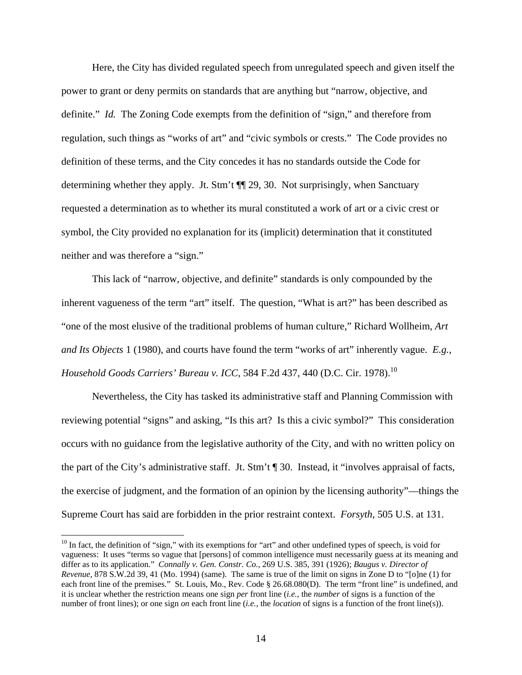Here, the City has divided regulated speech from unregulated speech and given itself the power to grant or deny permits on standards that are anything but "narrow, objective, and definite." *Id.* The Zoning Code exempts from the definition of "sign," and therefore from regulation, such things as "works of art" and "civic symbols or crests." The Code provides no definition of these terms, and the City concedes it has no standards outside the Code for determining whether they apply. Jt. Stm't ¶¶ 29, 30. Not surprisingly, when Sanctuary requested a determination as to whether its mural constituted a work of art or a civic crest or symbol, the City provided no explanation for its (implicit) determination that it constituted neither and was therefore a "sign."

This lack of "narrow, objective, and definite" standards is only compounded by the inherent vagueness of the term "art" itself. The question, "What is art?" has been described as "one of the most elusive of the traditional problems of human culture," Richard Wollheim, *Art and Its Objects* 1 (1980), and courts have found the term "works of art" inherently vague. *E.g.*, *Household Goods Carriers' Bureau v. ICC*, 584 F.2d 437, 440 (D.C. Cir. 1978).<sup>10</sup>

Nevertheless, the City has tasked its administrative staff and Planning Commission with reviewing potential "signs" and asking, "Is this art? Is this a civic symbol?" This consideration occurs with no guidance from the legislative authority of the City, and with no written policy on the part of the City's administrative staff. Jt. Stm't ¶ 30. Instead, it "involves appraisal of facts, the exercise of judgment, and the formation of an opinion by the licensing authority"—things the Supreme Court has said are forbidden in the prior restraint context. *Forsyth*, 505 U.S. at 131.

<span id="page-13-0"></span><sup>&</sup>lt;sup>10</sup> In fact, the definition of "sign," with its exemptions for "art" and other undefined types of speech, is void for vagueness: It uses "terms so vague that [persons] of common intelligence must necessarily guess at its meaning and differ as to its application." *Connally v. Gen. Constr. Co.*, 269 U.S. 385, 391 (1926); *Baugus v. Director of Revenue*, 878 S.W.2d 39, 41 (Mo. 1994) (same). The same is true of the limit on signs in Zone D to "[o]ne (1) for each front line of the premises." St. Louis, Mo., Rev. Code § 26.68.080(D). The term "front line" is undefined, and it is unclear whether the restriction means one sign *per* front line (*i.e.*, the *number* of signs is a function of the number of front lines); or one sign *on* each front line (*i.e.*, the *location* of signs is a function of the front line(s)).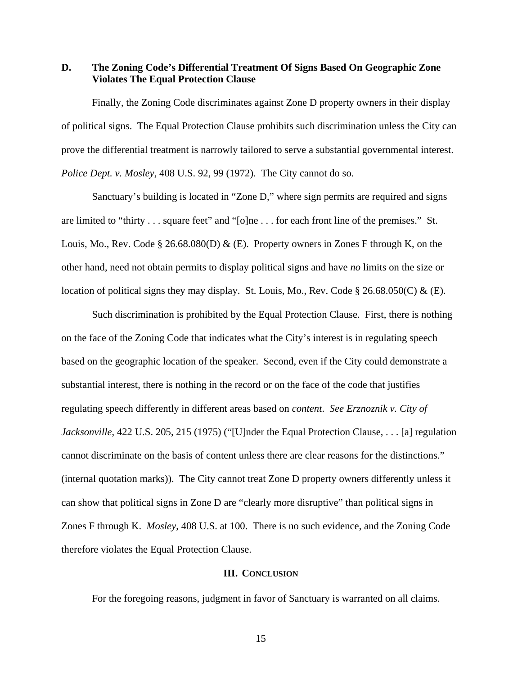**D. The Zoning Code's Differential Treatment Of Signs Based On Geographic Zone Violates The Equal Protection Clause** 

Finally, the Zoning Code discriminates against Zone D property owners in their display of political signs. The Equal Protection Clause prohibits such discrimination unless the City can prove the differential treatment is narrowly tailored to serve a substantial governmental interest. *Police Dept. v. Mosley*, 408 U.S. 92, 99 (1972). The City cannot do so.

Sanctuary's building is located in "Zone D," where sign permits are required and signs are limited to "thirty . . . square feet" and "[o]ne . . . for each front line of the premises." St. Louis, Mo., Rev. Code § 26.68.080(D) & (E). Property owners in Zones F through K, on the other hand, need not obtain permits to display political signs and have *no* limits on the size or location of political signs they may display. St. Louis, Mo., Rev. Code § 26.68.050(C) & (E).

Such discrimination is prohibited by the Equal Protection Clause. First, there is nothing on the face of the Zoning Code that indicates what the City's interest is in regulating speech based on the geographic location of the speaker. Second, even if the City could demonstrate a substantial interest, there is nothing in the record or on the face of the code that justifies regulating speech differently in different areas based on *content*. *See Erznoznik v. City of Jacksonville*, 422 U.S. 205, 215 (1975) ("[U]nder the Equal Protection Clause, . . . [a] regulation cannot discriminate on the basis of content unless there are clear reasons for the distinctions." (internal quotation marks)). The City cannot treat Zone D property owners differently unless it can show that political signs in Zone D are "clearly more disruptive" than political signs in Zones F through K. *Mosley*, 408 U.S. at 100. There is no such evidence, and the Zoning Code therefore violates the Equal Protection Clause.

#### **III. CONCLUSION**

For the foregoing reasons, judgment in favor of Sanctuary is warranted on all claims.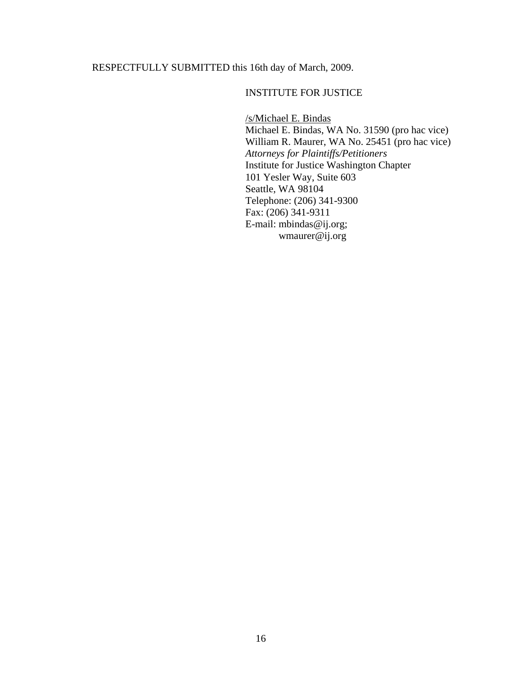# RESPECTFULLY SUBMITTED this 16th day of March, 2009.

## INSTITUTE FOR JUSTICE

/s/Michael E. Bindas Michael E. Bindas, WA No. 31590 (pro hac vice) William R. Maurer, WA No. 25451 (pro hac vice) *Attorneys for Plaintiffs/Petitioners* Institute for Justice Washington Chapter 101 Yesler Way, Suite 603 Seattle, WA 98104 Telephone: (206) 341-9300 Fax: (206) 341-9311 E-mail: mbindas@ij.org; wmaurer@ij.org